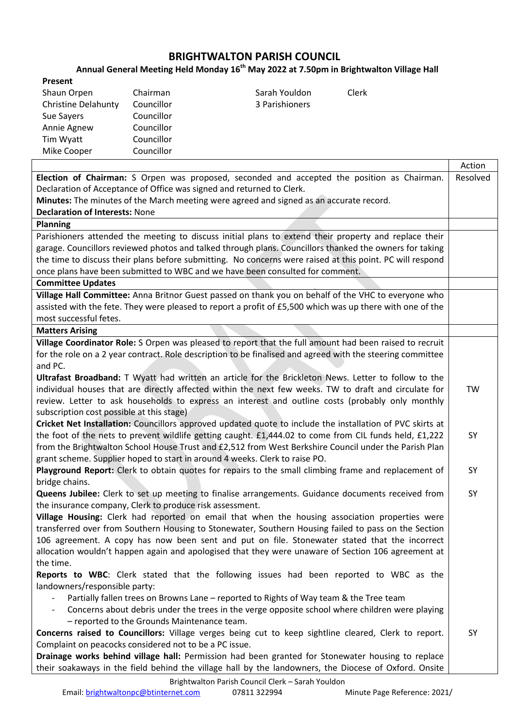## **BRIGHTWALTON PARISH COUNCIL**

## **Annual General Meeting Held Monday 16 th May 2022 at 7.50pm in Brightwalton Village Hall**

| Present                    |            |                |       |
|----------------------------|------------|----------------|-------|
| Shaun Orpen                | Chairman   | Sarah Youldon  | Clerk |
| <b>Christine Delahunty</b> | Councillor | 3 Parishioners |       |
| Sue Sayers                 | Councillor |                |       |
| Annie Agnew                | Councillor |                |       |
| Tim Wyatt                  | Councillor |                |       |
| Mike Cooper                | Councillor |                |       |

|                                                                                                                        | Action   |  |
|------------------------------------------------------------------------------------------------------------------------|----------|--|
| Election of Chairman: S Orpen was proposed, seconded and accepted the position as Chairman.                            | Resolved |  |
| Declaration of Acceptance of Office was signed and returned to Clerk.                                                  |          |  |
| Minutes: The minutes of the March meeting were agreed and signed as an accurate record.                                |          |  |
| <b>Declaration of Interests: None</b>                                                                                  |          |  |
| <b>Planning</b>                                                                                                        |          |  |
| Parishioners attended the meeting to discuss initial plans to extend their property and replace their                  |          |  |
| garage. Councillors reviewed photos and talked through plans. Councillors thanked the owners for taking                |          |  |
| the time to discuss their plans before submitting. No concerns were raised at this point. PC will respond              |          |  |
| once plans have been submitted to WBC and we have been consulted for comment.                                          |          |  |
| <b>Committee Updates</b>                                                                                               |          |  |
| Village Hall Committee: Anna Britnor Guest passed on thank you on behalf of the VHC to everyone who                    |          |  |
| assisted with the fete. They were pleased to report a profit of £5,500 which was up there with one of the              |          |  |
| most successful fetes.                                                                                                 |          |  |
| <b>Matters Arising</b>                                                                                                 |          |  |
| Village Coordinator Role: S Orpen was pleased to report that the full amount had been raised to recruit                |          |  |
| for the role on a 2 year contract. Role description to be finalised and agreed with the steering committee             |          |  |
| and PC.                                                                                                                |          |  |
| Ultrafast Broadband: T Wyatt had written an article for the Brickleton News. Letter to follow to the                   |          |  |
| individual houses that are directly affected within the next few weeks. TW to draft and circulate for                  | TW       |  |
| review. Letter to ask households to express an interest and outline costs (probably only monthly                       |          |  |
| subscription cost possible at this stage)                                                                              |          |  |
| Cricket Net Installation: Councillors approved updated quote to include the installation of PVC skirts at              |          |  |
| the foot of the nets to prevent wildlife getting caught. £1,444.02 to come from CIL funds held, £1,222                 | SY       |  |
| from the Brightwalton School House Trust and £2,512 from West Berkshire Council under the Parish Plan                  |          |  |
| grant scheme. Supplier hoped to start in around 4 weeks. Clerk to raise PO.                                            | SY       |  |
| Playground Report: Clerk to obtain quotes for repairs to the small climbing frame and replacement of<br>bridge chains. |          |  |
| <b>Queens Jubilee:</b> Clerk to set up meeting to finalise arrangements. Guidance documents received from              | SY       |  |
| the insurance company, Clerk to produce risk assessment.                                                               |          |  |
| Village Housing: Clerk had reported on email that when the housing association properties were                         |          |  |
| transferred over from Southern Housing to Stonewater, Southern Housing failed to pass on the Section                   |          |  |
| 106 agreement. A copy has now been sent and put on file. Stonewater stated that the incorrect                          |          |  |
| allocation wouldn't happen again and apologised that they were unaware of Section 106 agreement at                     |          |  |
| the time.                                                                                                              |          |  |
| Reports to WBC: Clerk stated that the following issues had been reported to WBC as the                                 |          |  |
| landowners/responsible party:                                                                                          |          |  |
| Partially fallen trees on Browns Lane - reported to Rights of Way team & the Tree team                                 |          |  |
| Concerns about debris under the trees in the verge opposite school where children were playing                         |          |  |
| - reported to the Grounds Maintenance team.                                                                            |          |  |
| Concerns raised to Councillors: Village verges being cut to keep sightline cleared, Clerk to report.                   |          |  |
| Complaint on peacocks considered not to be a PC issue.                                                                 |          |  |
| Drainage works behind village hall: Permission had been granted for Stonewater housing to replace                      |          |  |
| their soakaways in the field behind the village hall by the landowners, the Diocese of Oxford. Onsite                  |          |  |